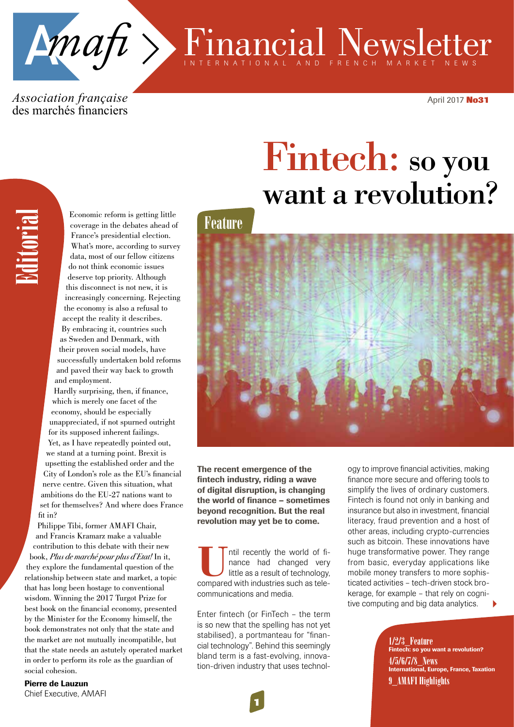# $Map$  > Financial Newsletter

LES PROFESSIONNELS DE *Association française*  des marchés financiers

April 2017 **No31**

# Fintech: so you want a revolution?

## **Feature**



The recent emergence of the fintech industry, riding a wave of digital disruption, is changing the world of finance – sometimes beyond recognition. But the real revolution may yet be to come.

Intil recently the world of fi-<br>nance had changed very<br>little as a result of technology,<br>compared with industries such as telenance had changed very little as a result of technology, compared with industries such as telecommunications and media.

Enter fintech (or FinTech – the term is so new that the spelling has not yet stabilised), a portmanteau for "financial technology". Behind this seemingly bland term is a fast-evolving, innovation-driven industry that uses technology to improve financial activities, making finance more secure and offering tools to simplify the lives of ordinary customers. Fintech is found not only in banking and insurance but also in investment, financial literacy, fraud prevention and a host of other areas, including crypto-currencies such as bitcoin. These innovations have huge transformative power. They range from basic, everyday applications like mobile money transfers to more sophisticated activities – tech-driven stock brokerage, for example – that rely on cognitive computing and big data analytics.

> 1/2/3\_Feature Fintech: so you want a revolution? 4/5/6/7/8\_News International, Europe, France, Taxation 9\_AMAFI Highlights

Editorial

coverage in the debates ahead of France's presidential election. What's more, according to survey data, most of our fellow citizens do not think economic issues deserve top priority. Although this disconnect is not new, it is increasingly concerning. Rejecting the economy is also a refusal to accept the reality it describes. By embracing it, countries such as Sweden and Denmark, with their proven social models, have successfully undertaken bold reforms and paved their way back to growth and employment.

Economic reform is getting little

Hardly surprising, then, if finance, which is merely one facet of the economy, should be especially unappreciated, if not spurned outright for its supposed inherent failings. Yet, as I have repeatedly pointed out, we stand at a turning point. Brexit is upsetting the established order and the City of London's role as the EU's financial nerve centre. Given this situation, what ambitions do the EU-27 nations want to set for themselves? And where does France fit in?

Philippe Tibi, former AMAFI Chair, and Francis Kramarz make a valuable contribution to this debate with their new book, *Plus de marché pour plus d'Etat!* In it, they explore the fundamental question of the relationship between state and market, a topic that has long been hostage to conventional wisdom. Winning the 2017 Turgot Prize for best book on the financial economy, presented by the Minister for the Economy himself, the book demonstrates not only that the state and the market are not mutually incompatible, but that the state needs an astutely operated market in order to perform its role as the guardian of social cohesion.

Pierre de Lauzun Chief Executive, AMAFI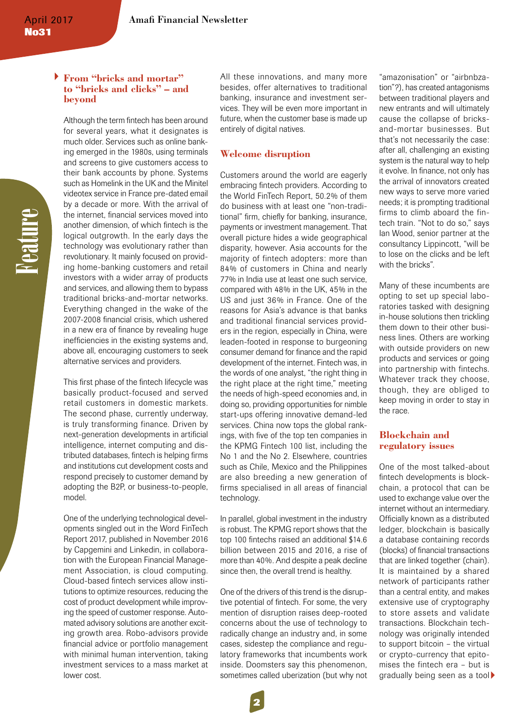Feature

#### **From "bricks and mortar" to "bricks and clicks" – and beyond**

Although the term fintech has been around for several years, what it designates is much older. Services such as online banking emerged in the 1980s, using terminals and screens to give customers access to their bank accounts by phone. Systems such as Homelink in the UK and the Minitel videotex service in France pre-dated email by a decade or more. With the arrival of the internet, financial services moved into another dimension, of which fintech is the logical outgrowth. In the early days the technology was evolutionary rather than revolutionary. It mainly focused on providing home-banking customers and retail investors with a wider array of products and services, and allowing them to bypass traditional bricks-and-mortar networks. Everything changed in the wake of the 2007-2008 financial crisis, which ushered in a new era of finance by revealing huge inefficiencies in the existing systems and, above all, encouraging customers to seek alternative services and providers.

This first phase of the fintech lifecycle was basically product-focused and served retail customers in domestic markets. The second phase, currently underway, is truly transforming finance. Driven by next-generation developments in artificial intelligence, internet computing and distributed databases, fintech is helping firms and institutions cut development costs and respond precisely to customer demand by adopting the B2P, or business-to-people, model.

One of the underlying technological developments singled out in the Word FinTech Report 2017, published in November 2016 by Capgemini and Linkedin, in collaboration with the European Financial Management Association, is cloud computing. Cloud-based fintech services allow institutions to optimize resources, reducing the cost of product development while improving the speed of customer response. Automated advisory solutions are another exciting growth area. Robo-advisors provide financial advice or portfolio management with minimal human intervention, taking investment services to a mass market at lower cost.

All these innovations, and many more besides, offer alternatives to traditional banking, insurance and investment services. They will be even more important in future, when the customer base is made up entirely of digital natives.

#### **Welcome disruption**

Customers around the world are eagerly embracing fintech providers. According to the World FinTech Report, 50.2% of them do business with at least one "non-traditional" firm, chiefly for banking, insurance, payments or investment management. That overall picture hides a wide geographical disparity, however. Asia accounts for the majority of fintech adopters: more than 84% of customers in China and nearly 77% in India use at least one such service, compared with 48% in the UK, 45% in the US and just 36% in France. One of the reasons for Asia's advance is that banks and traditional financial services providers in the region, especially in China, were leaden-footed in response to burgeoning consumer demand for finance and the rapid development of the internet. Fintech was, in the words of one analyst, "the right thing in the right place at the right time," meeting the needs of high-speed economies and, in doing so, providing opportunities for nimble start-ups offering innovative demand-led services. China now tops the global rankings, with five of the top ten companies in the KPMG Fintech 100 list, including the No 1 and the No 2. Elsewhere, countries such as Chile, Mexico and the Philippines are also breeding a new generation of firms specialised in all areas of financial technology.

In parallel, global investment in the industry is robust. The KPMG report shows that the top 100 fintechs raised an additional \$14.6 billion between 2015 and 2016, a rise of more than 40%. And despite a peak decline since then, the overall trend is healthy.

One of the drivers of this trend is the disruptive potential of fintech. For some, the very mention of disruption raises deep-rooted concerns about the use of technology to radically change an industry and, in some cases, sidestep the compliance and regulatory frameworks that incumbents work inside. Doomsters say this phenomenon, sometimes called uberization (but why not "amazonisation" or "airbnbzation"?), has created antagonisms between traditional players and new entrants and will ultimately cause the collapse of bricksand-mortar businesses. But that's not necessarily the case: after all, challenging an existing system is the natural way to help it evolve. In finance, not only has the arrival of innovators created new ways to serve more varied needs; it is prompting traditional firms to climb aboard the fintech train. "Not to do so," says Ian Wood, senior partner at the consultancy Lippincott, "will be to lose on the clicks and be left with the bricks".

Many of these incumbents are opting to set up special laboratories tasked with designing in-house solutions then trickling them down to their other business lines. Others are working with outside providers on new products and services or going into partnership with fintechs. Whatever track they choose, though, they are obliged to keep moving in order to stay in the race.

#### **Blockchain and regulatory issues**

One of the most talked-about fintech developments is blockchain, a protocol that can be used to exchange value over the internet without an intermediary. Officially known as a distributed ledger, blockchain is basically a database containing records (blocks) of financial transactions that are linked together (chain). It is maintained by a shared network of participants rather than a central entity, and makes extensive use of cryptography to store assets and validate transactions. Blockchain technology was originally intended to support bitcoin – the virtual or crypto-currency that epitomises the fintech era – but is gradually being seen as a tool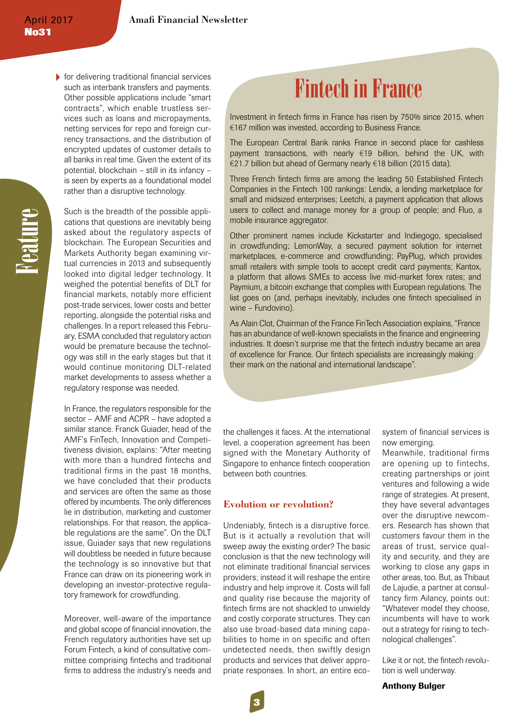$\triangleright$  for delivering traditional financial services such as interbank transfers and payments. Other possible applications include "smart contracts", which enable trustless services such as loans and micropayments, netting services for repo and foreign currency transactions, and the distribution of encrypted updates of customer details to all banks in real time. Given the extent of its potential, blockchain – still in its infancy – is seen by experts as a foundational model rather than a disruptive technology.

Such is the breadth of the possible applications that questions are inevitably being asked about the regulatory aspects of blockchain. The European Securities and Markets Authority began examining virtual currencies in 2013 and subsequently looked into digital ledger technology. It weighed the potential benefits of DLT for financial markets, notably more efficient post-trade services, lower costs and better reporting, alongside the potential risks and challenges. In a report released this February, ESMA concluded that regulatory action would be premature because the technology was still in the early stages but that it would continue monitoring DLT-related market developments to assess whether a regulatory response was needed.

In France, the regulators responsible for the sector – AMF and ACPR – have adopted a similar stance. Franck Guiader, head of the AMF's FinTech, Innovation and Competitiveness division, explains: "After meeting with more than a hundred fintechs and traditional firms in the past 18 months, we have concluded that their products and services are often the same as those offered by incumbents. The only differences lie in distribution, marketing and customer relationships. For that reason, the applicable regulations are the same". On the DLT issue, Guiader says that new regulations will doubtless be needed in future because the technology is so innovative but that France can draw on its pioneering work in developing an investor-protective regulatory framework for crowdfunding.

Moreover, well-aware of the importance and global scope of financial innovation, the French regulatory authorities have set up Forum Fintech, a kind of consultative committee comprising fintechs and traditional firms to address the industry's needs and

# Fintech in France

Investment in fintech firms in France has risen by 750% since 2015, when €167 million was invested, according to Business France.

The European Central Bank ranks France in second place for cashless payment transactions, with nearly €19 billion, behind the UK, with €21.7 billion but ahead of Germany nearly €18 billion (2015 data).

Three French fintech firms are among the leading 50 Established Fintech Companies in the Fintech 100 rankings: Lendix, a lending marketplace for small and midsized enterprises; Leetchi, a payment application that allows users to collect and manage money for a group of people; and Fluo, a mobile insurance aggregator.

Other prominent names include Kickstarter and Indiegogo, specialised in crowdfunding; LemonWay, a secured payment solution for internet marketplaces, e-commerce and crowdfunding; PayPlug, which provides small retailers with simple tools to accept credit card payments; Kantox, a platform that allows SMEs to access live mid-market forex rates; and Paymium, a bitcoin exchange that complies with European regulations. The list goes on (and, perhaps inevitably, includes one fintech specialised in wine – Fundovino).

As Alain Clot, Chairman of the France FinTech Association explains, "France has an abundance of well-known specialists in the finance and engineering industries. It doesn't surprise me that the fintech industry became an area of excellence for France. Our fintech specialists are increasingly making their mark on the national and international landscape".

the challenges it faces. At the international level, a cooperation agreement has been signed with the Monetary Authority of Singapore to enhance fintech cooperation between both countries.

#### **Evolution or revolution?**

Undeniably, fintech is a disruptive force. But is it actually a revolution that will sweep away the existing order? The basic conclusion is that the new technology will not eliminate traditional financial services providers; instead it will reshape the entire industry and help improve it. Costs will fall and quality rise because the majority of fintech firms are not shackled to unwieldy and costly corporate structures. They can also use broad-based data mining capabilities to home in on specific and often undetected needs, then swiftly design products and services that deliver appropriate responses. In short, an entire ecosystem of financial services is now emerging.

Meanwhile, traditional firms are opening up to fintechs, creating partnerships or joint ventures and following a wide range of strategies. At present, they have several advantages over the disruptive newcomers. Research has shown that customers favour them in the areas of trust, service quality and security, and they are working to close any gaps in other areas, too. But, as Thibaut de Lajudie, a partner at consultancy firm Ailancy, points out: "Whatever model they choose, incumbents will have to work out a strategy for rising to technological challenges".

Like it or not, the fintech revolution is well underway.

Anthony Bulger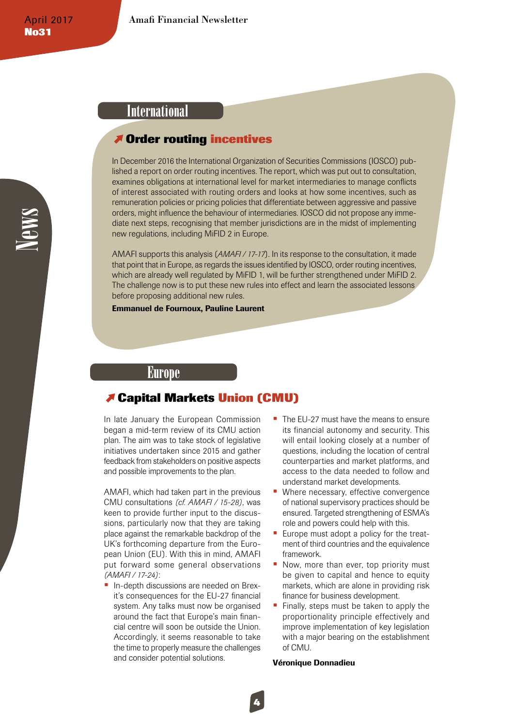## **International**

#### *A* Order routing incentives

In December 2016 the International Organization of Securities Commissions (IOSCO) published a report on order routing incentives. The report, which was put out to consultation, examines obligations at international level for market intermediaries to manage conflicts of interest associated with routing orders and looks at how some incentives, such as remuneration policies or pricing policies that differentiate between aggressive and passive orders, might influence the behaviour of intermediaries. IOSCO did not propose any immediate next steps, recognising that member jurisdictions are in the midst of implementing new regulations, including MiFID 2 in Europe.

AMAFI supports this analysis (*AMAFI / 17-17*). In its response to the consultation, it made that point that in Europe, as regards the issues identified by IOSCO, order routing incentives, which are already well regulated by MiFID 1, will be further strengthened under MiFID 2. The challenge now is to put these new rules into effect and learn the associated lessons before proposing additional new rules.

#### Emmanuel de Fournoux, Pauline Laurent

**Europe** 

#### j**Capital Markets Union (CMU)**

In late January the European Commission began a mid-term review of its CMU action plan. The aim was to take stock of legislative initiatives undertaken since 2015 and gather feedback from stakeholders on positive aspects and possible improvements to the plan.

AMAFI, which had taken part in the previous CMU consultations *(cf. AMAFI / 15-28)*, was keen to provide further input to the discussions, particularly now that they are taking place against the remarkable backdrop of the UK's forthcoming departure from the European Union (EU). With this in mind, AMAFI put forward some general observations *(AMAFI / 17-24)*:

**In-depth discussions are needed on Brex**it's consequences for the EU-27 financial system. Any talks must now be organised around the fact that Europe's main financial centre will soon be outside the Union. Accordingly, it seems reasonable to take the time to properly measure the challenges and consider potential solutions.

- The EU-27 must have the means to ensure its financial autonomy and security. This will entail looking closely at a number of questions, including the location of central counterparties and market platforms, and access to the data needed to follow and understand market developments.
- **Where necessary, effective convergence** of national supervisory practices should be ensured. Targeted strengthening of ESMA's role and powers could help with this.
- **Europe must adopt a policy for the treat**ment of third countries and the equivalence framework.
- Now, more than ever, top priority must be given to capital and hence to equity markets, which are alone in providing risk finance for business development.
- Finally, steps must be taken to apply the proportionality principle effectively and improve implementation of key legislation with a major bearing on the establishment of CMU.

#### Véronique Donnadieu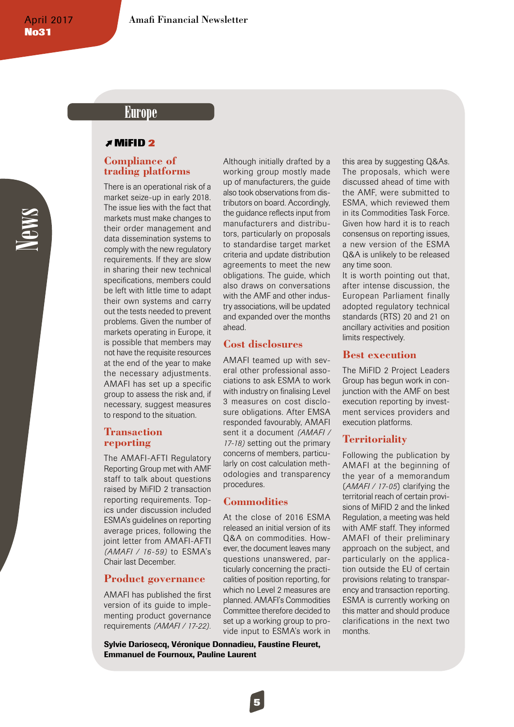Although initially drafted by a working group mostly made up of manufacturers, the guide also took observations from distributors on board. Accordingly, the guidance reflects input from manufacturers and distributors, particularly on proposals to standardise target market criteria and update distribution agreements to meet the new obligations. The guide, which also draws on conversations with the AMF and other industry associations, will be updated and expanded over the months

ahead.

procedures.

**Commodities**

At the close of 2016 ESMA released an initial version of its Q&A on commodities. However, the document leaves many questions unanswered, particularly concerning the practicalities of position reporting, for which no Level 2 measures are planned. AMAFI's Commodities Committee therefore decided to set up a working group to provide input to ESMA's work in

**Cost disclosures**

AMAFI teamed up with several other professional associations to ask ESMA to work with industry on finalising Level 3 measures on cost disclosure obligations. After EMSA responded favourably, AMAFI sent it a document *(AMAFI / 17-18)* setting out the primary concerns of members, particularly on cost calculation methodologies and transparency

# News

# **Europe**

#### j**MiFID 2**

#### **Compliance of trading platforms**

There is an operational risk of a market seize-up in early 2018. The issue lies with the fact that markets must make changes to their order management and data dissemination systems to comply with the new regulatory requirements. If they are slow in sharing their new technical specifications, members could be left with little time to adapt their own systems and carry out the tests needed to prevent problems. Given the number of markets operating in Europe, it is possible that members may not have the requisite resources at the end of the year to make the necessary adjustments. AMAFI has set up a specific group to assess the risk and, if necessary, suggest measures to respond to the situation.

#### **Transaction reporting**

The AMAFI-AFTI Regulatory Reporting Group met with AMF staff to talk about questions raised by MiFID 2 transaction reporting requirements. Topics under discussion included ESMA's guidelines on reporting average prices, following the joint letter from AMAFI-AFTI *(AMAFI / 16-59)* to ESMA's Chair last December.

#### **Product governance**

AMAFI has published the first version of its guide to implementing product governance requirements *(AMAFI / 17-22).* 

Sylvie Dariosecq, Véronique Donnadieu, Faustine Fleuret, Emmanuel de Fournoux, Pauline Laurent

this area by suggesting Q&As. The proposals, which were discussed ahead of time with the AMF, were submitted to ESMA, which reviewed them in its Commodities Task Force. Given how hard it is to reach consensus on reporting issues, a new version of the ESMA Q&A is unlikely to be released any time soon.

It is worth pointing out that, after intense discussion, the European Parliament finally adopted regulatory technical standards (RTS) 20 and 21 on ancillary activities and position limits respectively.

#### **Best execution**

The MiFID 2 Project Leaders Group has begun work in conjunction with the AMF on best execution reporting by investment services providers and execution platforms.

#### **Territoriality**

Following the publication by AMAFI at the beginning of the year of a memorandum (*AMAFI / 17-05*) clarifying the territorial reach of certain provisions of MiFID 2 and the linked Regulation, a meeting was held with AMF staff. They informed AMAFI of their preliminary approach on the subject, and particularly on the application outside the EU of certain provisions relating to transparency and transaction reporting. ESMA is currently working on this matter and should produce clarifications in the next two months.

**5**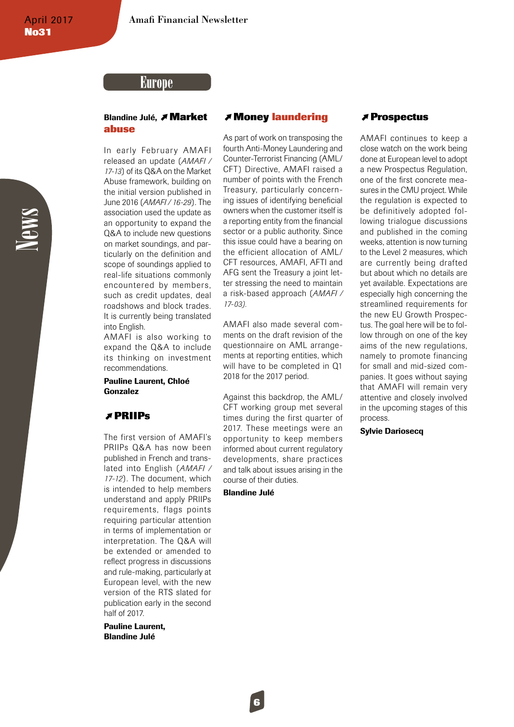# News

#### **Europe**

#### Blandine Julé, *A* **Market abuse**

In early February AMAFI released an update (*AMAFI / 17-13*) of its Q&A on the Market Abuse framework, building on the initial version published in June 2016 (*AMAFI / 16-29*). The association used the update as an opportunity to expand the Q&A to include new questions on market soundings, and particularly on the definition and scope of soundings applied to real-life situations commonly encountered by members, such as credit updates, deal roadshows and block trades. It is currently being translated into English.

AMAFI is also working to expand the Q&A to include its thinking on investment recommendations.

#### Pauline Laurent, Chloé Gonzalez

#### j**PRIIPs**

The first version of AMAFI's PRIIPs Q&A has now been published in French and translated into English (*AMAFI / 17-12*). The document, which is intended to help members understand and apply PRIIPs requirements, flags points requiring particular attention in terms of implementation or interpretation. The Q&A will be extended or amended to reflect progress in discussions and rule-making, particularly at European level, with the new version of the RTS slated for publication early in the second half of 2017.

Pauline Laurent, Blandine Julé

#### j**Money laundering**

As part of work on transposing the fourth Anti-Money Laundering and Counter-Terrorist Financing (AML/ CFT) Directive, AMAFI raised a number of points with the French Treasury, particularly concerning issues of identifying beneficial owners when the customer itself is a reporting entity from the financial sector or a public authority. Since this issue could have a bearing on the efficient allocation of AML/ CFT resources, AMAFI, AFTI and AFG sent the Treasury a joint letter stressing the need to maintain a risk-based approach (*AMAFI / 17-03).* 

AMAFI also made several comments on the draft revision of the questionnaire on AML arrangements at reporting entities, which will have to be completed in Q1 2018 for the 2017 period.

Against this backdrop, the AML/ CFT working group met several times during the first quarter of 2017. These meetings were an opportunity to keep members informed about current regulatory developments, share practices and talk about issues arising in the course of their duties.

#### Blandine Julé

**6**

#### j**Prospectus**

AMAFI continues to keep a close watch on the work being done at European level to adopt a new Prospectus Regulation, one of the first concrete measures in the CMU project. While the regulation is expected to be definitively adopted following trialogue discussions and published in the coming weeks, attention is now turning to the Level 2 measures, which are currently being drafted but about which no details are yet available. Expectations are especially high concerning the streamlined requirements for the new EU Growth Prospectus. The goal here will be to follow through on one of the key aims of the new regulations, namely to promote financing for small and mid-sized companies. It goes without saying that AMAFI will remain very attentive and closely involved in the upcoming stages of this process.

#### Sylvie Dariosecq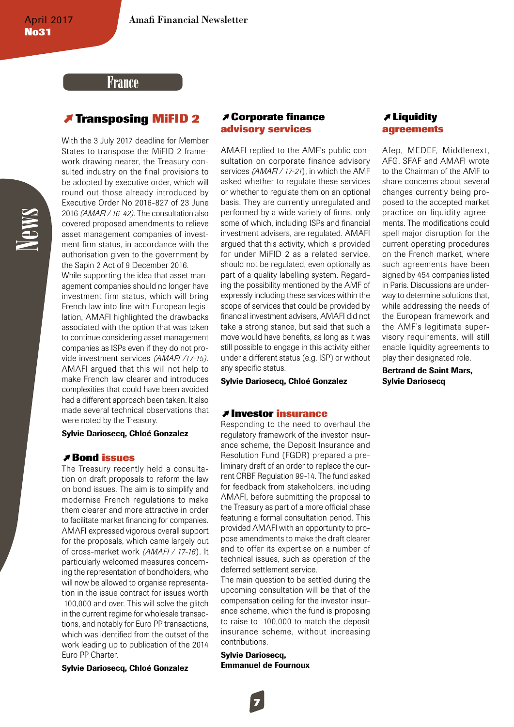News

## **France**

#### j**Transposing MiFID 2**

With the 3 July 2017 deadline for Member States to transpose the MiFID 2 framework drawing nearer, the Treasury consulted industry on the final provisions to be adopted by executive order, which will round out those already introduced by Executive Order No 2016-827 of 23 June 2016 *(AMAFI / 16-42)*. The consultation also covered proposed amendments to relieve asset management companies of investment firm status, in accordance with the authorisation given to the government by the Sapin 2 Act of 9 December 2016.

While supporting the idea that asset management companies should no longer have investment firm status, which will bring French law into line with European legislation, AMAFI highlighted the drawbacks associated with the option that was taken to continue considering asset management companies as ISPs even if they do not provide investment services *(AMAFI /17-15)*. AMAFI argued that this will not help to make French law clearer and introduces complexities that could have been avoided had a different approach been taken. It also made several technical observations that were noted by the Treasury.

#### Sylvie Dariosecq, Chloé Gonzalez

#### j**Bond issues**

The Treasury recently held a consultation on draft proposals to reform the law on bond issues. The aim is to simplify and modernise French regulations to make them clearer and more attractive in order to facilitate market financing for companies. AMAFI expressed vigorous overall support for the proposals, which came largely out of cross-market work *(AMAFI / 17-16*). It particularly welcomed measures concerning the representation of bondholders, who will now be allowed to organise representation in the issue contract for issues worth €100,000 and over. This will solve the glitch in the current regime for wholesale transactions, and notably for Euro PP transactions, which was identified from the outset of the work leading up to publication of the 2014 Euro PP Charter.

Sylvie Dariosecq, Chloé Gonzalez

#### j**Corporate finance advisory services**

AMAFI replied to the AMF's public consultation on corporate finance advisory services *(AMAFI / 17-21*), in which the AMF asked whether to regulate these services or whether to regulate them on an optional basis. They are currently unregulated and performed by a wide variety of firms, only some of which, including ISPs and financial investment advisers, are regulated. AMAFI argued that this activity, which is provided for under MiFID 2 as a related service, should not be regulated, even optionally as part of a quality labelling system. Regarding the possibility mentioned by the AMF of expressly including these services within the scope of services that could be provided by financial investment advisers, AMAFI did not take a strong stance, but said that such a move would have benefits, as long as it was still possible to engage in this activity either under a different status (e.g. ISP) or without any specific status.

Sylvie Dariosecq, Chloé Gonzalez

#### j**Investor insurance**

Responding to the need to overhaul the regulatory framework of the investor insurance scheme, the Deposit Insurance and Resolution Fund (FGDR) prepared a preliminary draft of an order to replace the current CRBF Regulation 99-14. The fund asked for feedback from stakeholders, including AMAFI, before submitting the proposal to the Treasury as part of a more official phase featuring a formal consultation period. This provided AMAFI with an opportunity to propose amendments to make the draft clearer and to offer its expertise on a number of technical issues, such as operation of the deferred settlement service.

The main question to be settled during the upcoming consultation will be that of the compensation ceiling for the investor insurance scheme, which the fund is proposing to raise to  $600,000$  to match the deposit insurance scheme, without increasing contributions.

Sylvie Dariosecq, Emmanuel de Fournoux

**7**

#### j**Liquidity agreements**

Afep, MEDEF, Middlenext, AFG, SFAF and AMAFI wrote to the Chairman of the AMF to share concerns about several changes currently being proposed to the accepted market practice on liquidity agreements. The modifications could spell major disruption for the current operating procedures on the French market, where such agreements have been signed by 454 companies listed in Paris. Discussions are underway to determine solutions that, while addressing the needs of the European framework and the AMF's legitimate supervisory requirements, will still enable liquidity agreements to play their designated role.

Bertrand de Saint Mars, Sylvie Dariosecq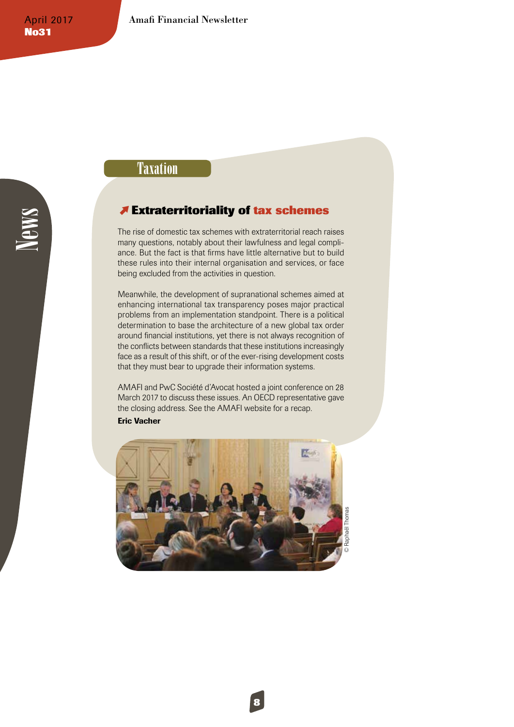# News

## **Taxation**

#### j**Extraterritoriality of tax schemes**

The rise of domestic tax schemes with extraterritorial reach raises many questions, notably about their lawfulness and legal compliance. But the fact is that firms have little alternative but to build these rules into their internal organisation and services, or face being excluded from the activities in question.

Meanwhile, the development of supranational schemes aimed at enhancing international tax transparency poses major practical problems from an implementation standpoint. There is a political determination to base the architecture of a new global tax order around financial institutions, yet there is not always recognition of the conflicts between standards that these institutions increasingly face as a result of this shift, or of the ever-rising development costs that they must bear to upgrade their information systems.

AMAFI and PwC Société d'Avocat hosted a joint conference on 28 March 2017 to discuss these issues. An OECD representative gave the closing address. See the AMAFI website for a recap.

#### Eric Vacher



**8**